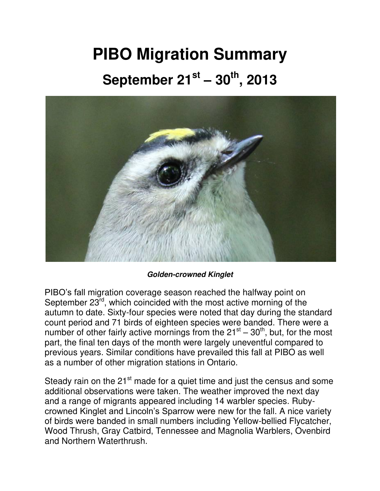## **PIBO Migration Summary September 21st – 30th, 2013**



*Golden-crowned Kinglet*

PIBO's fall migration coverage season reached the halfway point on September 23rd, which coincided with the most active morning of the autumn to date. Sixty-four species were noted that day during the standard count period and 71 birds of eighteen species were banded. There were a number of other fairly active mornings from the  $21<sup>st</sup> - 30<sup>th</sup>$ , but, for the most part, the final ten days of the month were largely uneventful compared to previous years. Similar conditions have prevailed this fall at PIBO as well as a number of other migration stations in Ontario.

Steady rain on the 21<sup>st</sup> made for a quiet time and just the census and some additional observations were taken. The weather improved the next day and a range of migrants appeared including 14 warbler species. Rubycrowned Kinglet and Lincoln's Sparrow were new for the fall. A nice variety of birds were banded in small numbers including Yellow-bellied Flycatcher, Wood Thrush, Gray Catbird, Tennessee and Magnolia Warblers, Ovenbird and Northern Waterthrush.